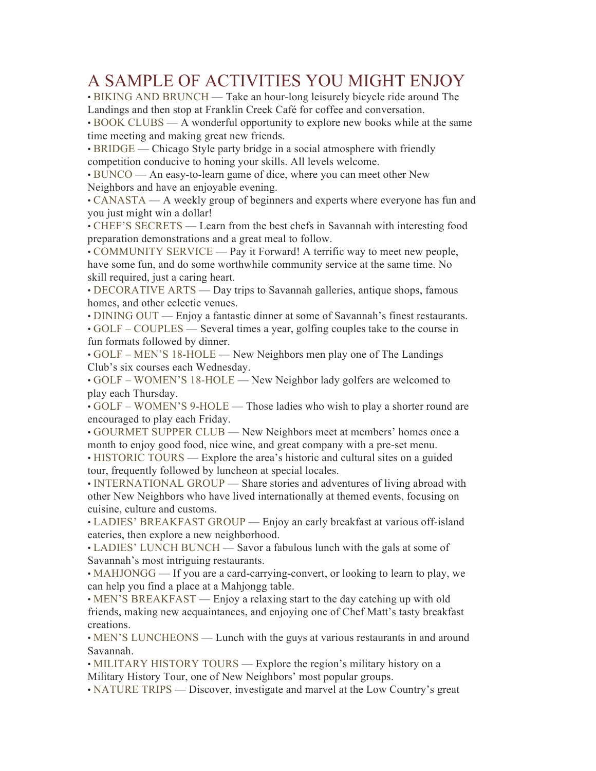## A SAMPLE OF ACTIVITIES YOU MIGHT ENJOY

• BIKING AND BRUNCH — Take an hour-long leisurely bicycle ride around The Landings and then stop at Franklin Creek Café for coffee and conversation.

• BOOK CLUBS — A wonderful opportunity to explore new books while at the same time meeting and making great new friends.

• BRIDGE — Chicago Style party bridge in a social atmosphere with friendly competition conducive to honing your skills. All levels welcome.

• BUNCO — An easy-to-learn game of dice, where you can meet other New Neighbors and have an enjoyable evening.

• CANASTA — A weekly group of beginners and experts where everyone has fun and you just might win a dollar!

• CHEF'S SECRETS — Learn from the best chefs in Savannah with interesting food preparation demonstrations and a great meal to follow.

• COMMUNITY SERVICE — Pay it Forward! A terrific way to meet new people, have some fun, and do some worthwhile community service at the same time. No skill required, just a caring heart.

• DECORATIVE ARTS — Day trips to Savannah galleries, antique shops, famous homes, and other eclectic venues.

• DINING OUT — Enjoy a fantastic dinner at some of Savannah's finest restaurants.

• GOLF – COUPLES — Several times a year, golfing couples take to the course in fun formats followed by dinner.

• GOLF – MEN'S 18-HOLE — New Neighbors men play one of The Landings Club's six courses each Wednesday.

• GOLF – WOMEN'S 18-HOLE — New Neighbor lady golfers are welcomed to play each Thursday.

• GOLF – WOMEN'S 9-HOLE — Those ladies who wish to play a shorter round are encouraged to play each Friday.

• GOURMET SUPPER CLUB — New Neighbors meet at members' homes once a month to enjoy good food, nice wine, and great company with a pre-set menu.

• HISTORIC TOURS — Explore the area's historic and cultural sites on a guided tour, frequently followed by luncheon at special locales.

• INTERNATIONAL GROUP — Share stories and adventures of living abroad with other New Neighbors who have lived internationally at themed events, focusing on cuisine, culture and customs.

• LADIES' BREAKFAST GROUP — Enjoy an early breakfast at various off-island eateries, then explore a new neighborhood.

• LADIES' LUNCH BUNCH — Savor a fabulous lunch with the gals at some of Savannah's most intriguing restaurants.

• MAHJONGG — If you are a card-carrying-convert, or looking to learn to play, we can help you find a place at a Mahjongg table.

• MEN'S BREAKFAST — Enjoy a relaxing start to the day catching up with old friends, making new acquaintances, and enjoying one of Chef Matt's tasty breakfast creations.

• MEN'S LUNCHEONS — Lunch with the guys at various restaurants in and around Savannah.

• MILITARY HISTORY TOURS — Explore the region's military history on a Military History Tour, one of New Neighbors' most popular groups.

• NATURE TRIPS — Discover, investigate and marvel at the Low Country's great